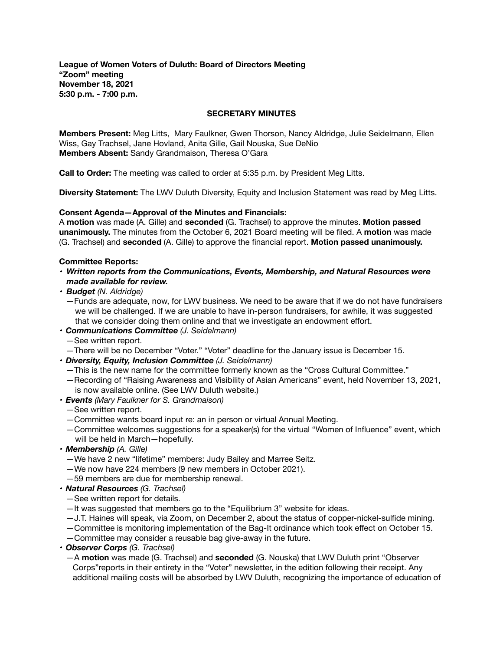**League of Women Voters of Duluth: Board of Directors Meeting "Zoom" meeting November 18, 2021 5:30 p.m. - 7:00 p.m.** 

### **SECRETARY MINUTES**

**Members Present:** Meg Litts, Mary Faulkner, Gwen Thorson, Nancy Aldridge, Julie Seidelmann, Ellen Wiss, Gay Trachsel, Jane Hovland, Anita Gille, Gail Nouska, Sue DeNio **Members Absent:** Sandy Grandmaison, Theresa O'Gara

**Call to Order:** The meeting was called to order at 5:35 p.m. by President Meg Litts.

**Diversity Statement:** The LWV Duluth Diversity, Equity and Inclusion Statement was read by Meg Litts.

### **Consent Agenda—Approval of the Minutes and Financials:**

A **motion** was made (A. Gille) and **seconded** (G. Trachsel) to approve the minutes. **Motion passed unanimously.** The minutes from the October 6, 2021 Board meeting will be filed. A **motion** was made (G. Trachsel) and **seconded** (A. Gille) to approve the financial report. **Motion passed unanimously.** 

### **Committee Reports:**

- *• Written reports from the Communications, Events, Membership, and Natural Resources were made available for review.*
- *• Budget (N. Aldridge)* 
	- *—*Funds are adequate, now, for LWV business. We need to be aware that if we do not have fundraisers we will be challenged. If we are unable to have in-person fundraisers, for awhile, it was suggested that we consider doing them online and that we investigate an endowment effort.
- *• Communications Committee (J. Seidelmann)* 
	- *—*See written report.
	- —There will be no December "Voter." "Voter" deadline for the January issue is December 15.
- *• Diversity, Equity, Inclusion Committee (J. Seidelmann)*
	- —This is the new name for the committee formerly known as the "Cross Cultural Committee."
	- —Recording of "Raising Awareness and Visibility of Asian Americans" event, held November 13, 2021, is now available online. (See LWV Duluth website.)
- *• Events (Mary Faulkner for S. Grandmaison)* 
	- *—*See written report.
	- —Committee wants board input re: an in person or virtual Annual Meeting.
	- —Committee welcomes suggestions for a speaker(s) for the virtual "Women of Influence" event, which will be held in March—hopefully.
- *• Membership (A. Gille)* 
	- *—*We have 2 new "lifetime" members: Judy Bailey and Marree Seitz.
	- —We now have 224 members (9 new members in October 2021).
	- —59 members are due for membership renewal.
- *• Natural Resources (G. Trachsel)* 
	- *—*See written report for details.
	- —It was suggested that members go to the "Equilibrium 3" website for ideas.
	- —J.T. Haines will speak, via Zoom, on December 2, about the status of copper-nickel-sulfide mining.
	- *—*Committee is monitoring implementation of the Bag-It ordinance which took effect on October 15.
	- —Committee may consider a reusable bag give-away in the future.
- *• Observer Corps (G. Trachsel)* 
	- *—*A **motion** was made (G. Trachsel) and **seconded** (G. Nouska) that LWV Duluth print "Observer Corps"reports in their entirety in the "Voter" newsletter, in the edition following their receipt. Any additional mailing costs will be absorbed by LWV Duluth, recognizing the importance of education of